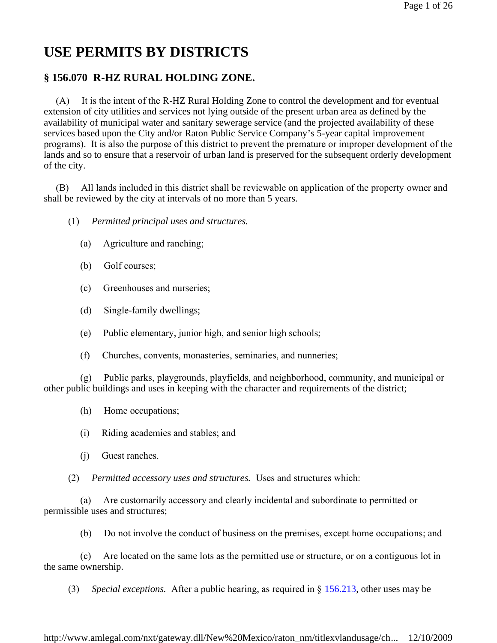# **USE PERMITS BY DISTRICTS**

# **§ 156.070 R-HZ RURAL HOLDING ZONE.**

 (A) It is the intent of the R-HZ Rural Holding Zone to control the development and for eventual extension of city utilities and services not lying outside of the present urban area as defined by the availability of municipal water and sanitary sewerage service (and the projected availability of these services based upon the City and/or Raton Public Service Company's 5-year capital improvement programs). It is also the purpose of this district to prevent the premature or improper development of the lands and so to ensure that a reservoir of urban land is preserved for the subsequent orderly development of the city.

 (B) All lands included in this district shall be reviewable on application of the property owner and shall be reviewed by the city at intervals of no more than 5 years.

- (1) *Permitted principal uses and structures.*
	- (a) Agriculture and ranching;
	- (b) Golf courses;
	- (c) Greenhouses and nurseries;
	- (d) Single-family dwellings;
	- (e) Public elementary, junior high, and senior high schools;
	- (f) Churches, convents, monasteries, seminaries, and nunneries;

 (g) Public parks, playgrounds, playfields, and neighborhood, community, and municipal or other public buildings and uses in keeping with the character and requirements of the district;

- (h) Home occupations;
- (i) Riding academies and stables; and
- (j) Guest ranches.

(2) *Permitted accessory uses and structures.* Uses and structures which:

 (a) Are customarily accessory and clearly incidental and subordinate to permitted or permissible uses and structures;

(b) Do not involve the conduct of business on the premises, except home occupations; and

 (c) Are located on the same lots as the permitted use or structure, or on a contiguous lot in the same ownership.

(3) *Special exceptions.* After a public hearing, as required in § 156.213, other uses may be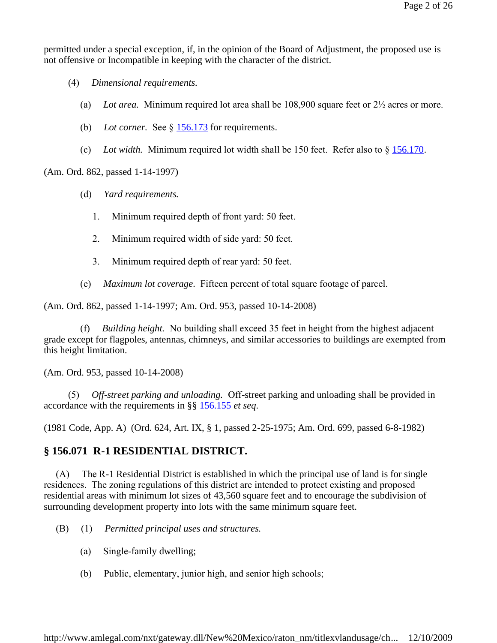permitted under a special exception, if, in the opinion of the Board of Adjustment, the proposed use is not offensive or Incompatible in keeping with the character of the district.

- (4) *Dimensional requirements.*
	- (a) *Lot area.* Minimum required lot area shall be 108,900 square feet or 2½ acres or more.
	- (b) Lot corner. See § 156.173 for requirements.
	- (c) *Lot width.* Minimum required lot width shall be 150 feet. Refer also to  $\S$  156.170.

(Am. Ord. 862, passed 1-14-1997)

- (d) *Yard requirements.*
	- 1. Minimum required depth of front yard: 50 feet.
	- 2. Minimum required width of side yard: 50 feet.
	- 3. Minimum required depth of rear yard: 50 feet.
- (e) *Maximum lot coverage.* Fifteen percent of total square footage of parcel.

(Am. Ord. 862, passed 1-14-1997; Am. Ord. 953, passed 10-14-2008)

 (f) *Building height.* No building shall exceed 35 feet in height from the highest adjacent grade except for flagpoles, antennas, chimneys, and similar accessories to buildings are exempted from this height limitation.

(Am. Ord. 953, passed 10-14-2008)

 (5) *Off-street parking and unloading.* Off-street parking and unloading shall be provided in accordance with the requirements in §§ 156.155 *et seq*.

(1981 Code, App. A) (Ord. 624, Art. IX, § 1, passed 2-25-1975; Am. Ord. 699, passed 6-8-1982)

# **§ 156.071 R-1 RESIDENTIAL DISTRICT.**

 (A) The R-1 Residential District is established in which the principal use of land is for single residences. The zoning regulations of this district are intended to protect existing and proposed residential areas with minimum lot sizes of 43,560 square feet and to encourage the subdivision of surrounding development property into lots with the same minimum square feet.

- (B) (1) *Permitted principal uses and structures.*
	- (a) Single-family dwelling;
	- (b) Public, elementary, junior high, and senior high schools;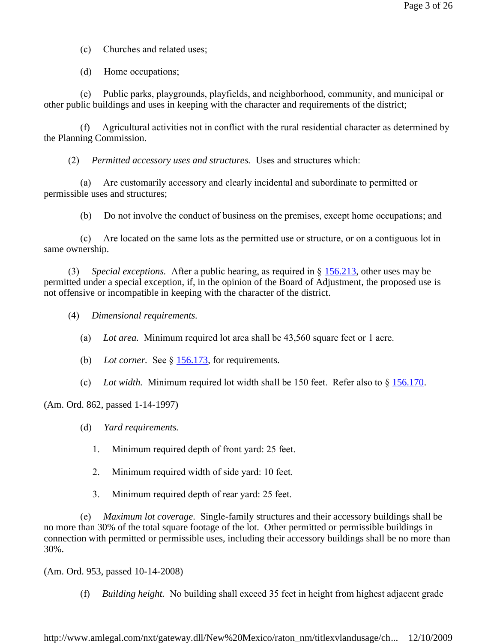(c) Churches and related uses;

(d) Home occupations;

 (e) Public parks, playgrounds, playfields, and neighborhood, community, and municipal or other public buildings and uses in keeping with the character and requirements of the district;

 (f) Agricultural activities not in conflict with the rural residential character as determined by the Planning Commission.

(2) *Permitted accessory uses and structures.* Uses and structures which:

 (a) Are customarily accessory and clearly incidental and subordinate to permitted or permissible uses and structures;

(b) Do not involve the conduct of business on the premises, except home occupations; and

 (c) Are located on the same lots as the permitted use or structure, or on a contiguous lot in same ownership.

 (3) *Special exceptions.* After a public hearing, as required in § 156.213, other uses may be permitted under a special exception, if, in the opinion of the Board of Adjustment, the proposed use is not offensive or incompatible in keeping with the character of the district.

- (4) *Dimensional requirements.*
	- (a) *Lot area.* Minimum required lot area shall be 43,560 square feet or 1 acre.
	- (b) *Lot corner.* See § 156.173, for requirements.
	- (c) *Lot width.* Minimum required lot width shall be 150 feet. Refer also to § 156.170.

(Am. Ord. 862, passed 1-14-1997)

- (d) *Yard requirements.*
	- 1. Minimum required depth of front yard: 25 feet.
	- 2. Minimum required width of side yard: 10 feet.
	- 3. Minimum required depth of rear yard: 25 feet.

 (e) *Maximum lot coverage.* Single-family structures and their accessory buildings shall be no more than 30% of the total square footage of the lot. Other permitted or permissible buildings in connection with permitted or permissible uses, including their accessory buildings shall be no more than 30%.

(Am. Ord. 953, passed 10-14-2008)

(f) *Building height.* No building shall exceed 35 feet in height from highest adjacent grade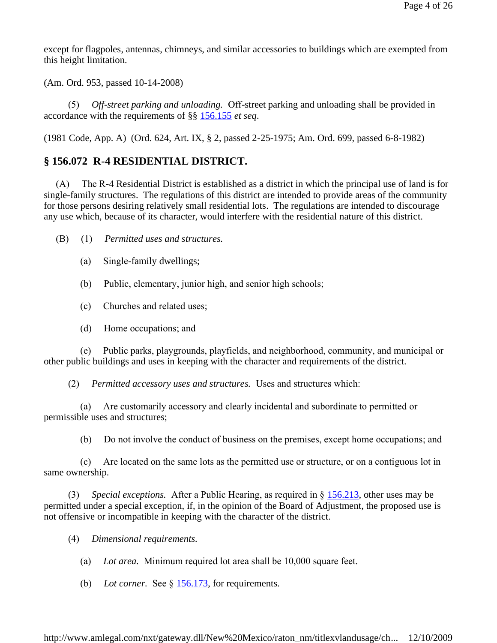except for flagpoles, antennas, chimneys, and similar accessories to buildings which are exempted from this height limitation.

(Am. Ord. 953, passed 10-14-2008)

 (5) *Off-street parking and unloading.* Off-street parking and unloading shall be provided in accordance with the requirements of §§ 156.155 *et seq*.

(1981 Code, App. A) (Ord. 624, Art. IX, § 2, passed 2-25-1975; Am. Ord. 699, passed 6-8-1982)

#### **§ 156.072 R-4 RESIDENTIAL DISTRICT.**

 (A) The R-4 Residential District is established as a district in which the principal use of land is for single-family structures. The regulations of this district are intended to provide areas of the community for those persons desiring relatively small residential lots. The regulations are intended to discourage any use which, because of its character, would interfere with the residential nature of this district.

- (B) (1) *Permitted uses and structures.*
	- (a) Single-family dwellings;
	- (b) Public, elementary, junior high, and senior high schools;
	- (c) Churches and related uses;
	- (d) Home occupations; and

 (e) Public parks, playgrounds, playfields, and neighborhood, community, and municipal or other public buildings and uses in keeping with the character and requirements of the district.

(2) *Permitted accessory uses and structures.* Uses and structures which:

 (a) Are customarily accessory and clearly incidental and subordinate to permitted or permissible uses and structures;

(b) Do not involve the conduct of business on the premises, except home occupations; and

 (c) Are located on the same lots as the permitted use or structure, or on a contiguous lot in same ownership.

 (3) *Special exceptions.* After a Public Hearing, as required in § 156.213, other uses may be permitted under a special exception, if, in the opinion of the Board of Adjustment, the proposed use is not offensive or incompatible in keeping with the character of the district.

(4) *Dimensional requirements.*

- (a) *Lot area.* Minimum required lot area shall be 10,000 square feet.
- (b) Lot corner. See  $\S$  156.173, for requirements.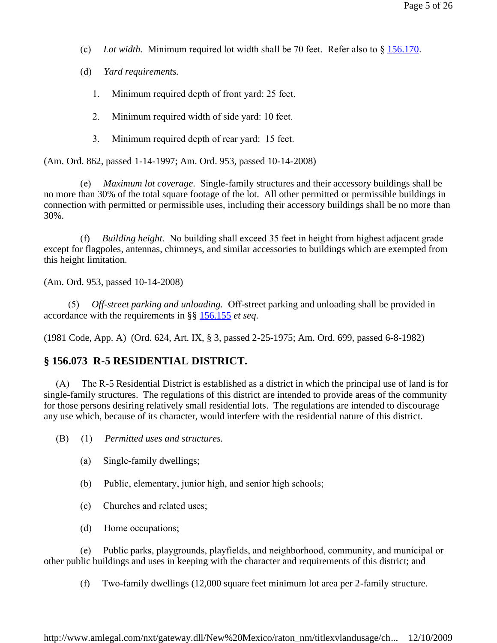- (c) *Lot width.* Minimum required lot width shall be 70 feet. Refer also to § 156.170.
- (d) *Yard requirements.*
	- 1. Minimum required depth of front yard: 25 feet.
	- 2. Minimum required width of side yard: 10 feet.
	- 3. Minimum required depth of rear yard: 15 feet.

(Am. Ord. 862, passed 1-14-1997; Am. Ord. 953, passed 10-14-2008)

 (e) *Maximum lot coverage.* Single-family structures and their accessory buildings shall be no more than 30% of the total square footage of the lot. All other permitted or permissible buildings in connection with permitted or permissible uses, including their accessory buildings shall be no more than 30%.

 (f) *Building height.* No building shall exceed 35 feet in height from highest adjacent grade except for flagpoles, antennas, chimneys, and similar accessories to buildings which are exempted from this height limitation.

(Am. Ord. 953, passed 10-14-2008)

 (5) *Off-street parking and unloading.* Off-street parking and unloading shall be provided in accordance with the requirements in §§ 156.155 *et seq*.

(1981 Code, App. A) (Ord. 624, Art. IX, § 3, passed 2-25-1975; Am. Ord. 699, passed 6-8-1982)

#### **§ 156.073 R-5 RESIDENTIAL DISTRICT.**

 (A) The R-5 Residential District is established as a district in which the principal use of land is for single-family structures. The regulations of this district are intended to provide areas of the community for those persons desiring relatively small residential lots. The regulations are intended to discourage any use which, because of its character, would interfere with the residential nature of this district.

(B) (1) *Permitted uses and structures.*

- (a) Single-family dwellings;
- (b) Public, elementary, junior high, and senior high schools;
- (c) Churches and related uses;
- (d) Home occupations;

 (e) Public parks, playgrounds, playfields, and neighborhood, community, and municipal or other public buildings and uses in keeping with the character and requirements of this district; and

(f) Two-family dwellings (12,000 square feet minimum lot area per 2-family structure.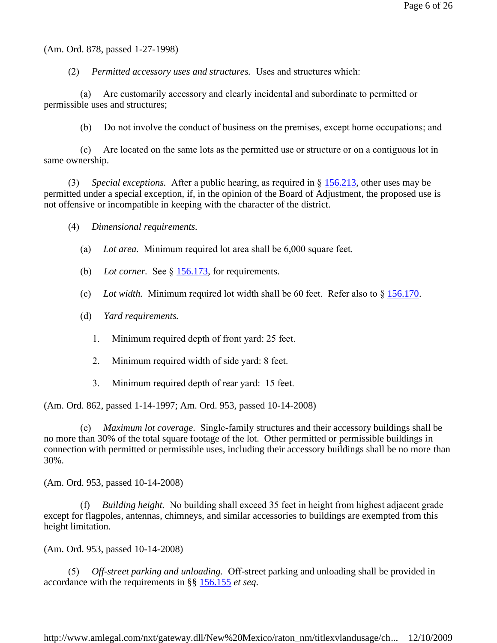(Am. Ord. 878, passed 1-27-1998)

(2) *Permitted accessory uses and structures.* Uses and structures which:

 (a) Are customarily accessory and clearly incidental and subordinate to permitted or permissible uses and structures;

(b) Do not involve the conduct of business on the premises, except home occupations; and

 (c) Are located on the same lots as the permitted use or structure or on a contiguous lot in same ownership.

 (3) *Special exceptions.* After a public hearing, as required in § 156.213, other uses may be permitted under a special exception, if, in the opinion of the Board of Adjustment, the proposed use is not offensive or incompatible in keeping with the character of the district.

(4) *Dimensional requirements.*

- (a) *Lot area.* Minimum required lot area shall be 6,000 square feet.
- (b) Lot corner. See § 156.173, for requirements.
- (c) *Lot width.* Minimum required lot width shall be 60 feet. Refer also to § 156.170.
- (d) *Yard requirements.*
	- 1. Minimum required depth of front yard: 25 feet.
	- 2. Minimum required width of side yard: 8 feet.
	- 3. Minimum required depth of rear yard: 15 feet.

(Am. Ord. 862, passed 1-14-1997; Am. Ord. 953, passed 10-14-2008)

 (e) *Maximum lot coverage.* Single-family structures and their accessory buildings shall be no more than 30% of the total square footage of the lot. Other permitted or permissible buildings in connection with permitted or permissible uses, including their accessory buildings shall be no more than 30%.

(Am. Ord. 953, passed 10-14-2008)

 (f) *Building height.* No building shall exceed 35 feet in height from highest adjacent grade except for flagpoles, antennas, chimneys, and similar accessories to buildings are exempted from this height limitation.

(Am. Ord. 953, passed 10-14-2008)

 (5) *Off-street parking and unloading.* Off-street parking and unloading shall be provided in accordance with the requirements in §§ 156.155 *et seq*.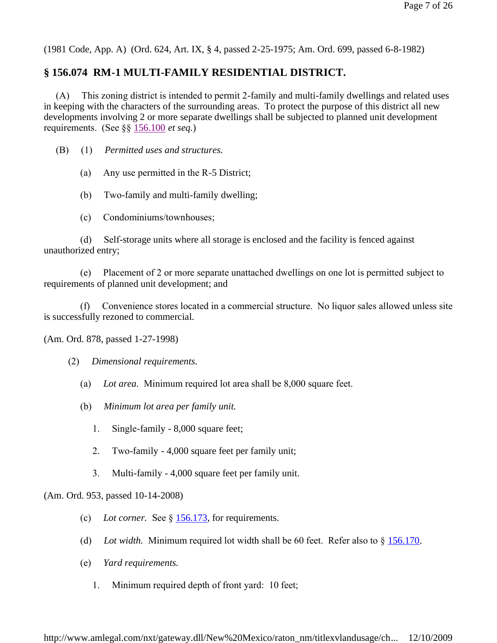(1981 Code, App. A) (Ord. 624, Art. IX, § 4, passed 2-25-1975; Am. Ord. 699, passed 6-8-1982)

## **§ 156.074 RM-1 MULTI-FAMILY RESIDENTIAL DISTRICT.**

 (A) This zoning district is intended to permit 2-family and multi-family dwellings and related uses in keeping with the characters of the surrounding areas. To protect the purpose of this district all new developments involving 2 or more separate dwellings shall be subjected to planned unit development requirements. (See §§ 156.100 *et seq.*)

(B) (1) *Permitted uses and structures.*

(a) Any use permitted in the R-5 District;

(b) Two-family and multi-family dwelling;

(c) Condominiums/townhouses;

 (d) Self-storage units where all storage is enclosed and the facility is fenced against unauthorized entry;

 (e) Placement of 2 or more separate unattached dwellings on one lot is permitted subject to requirements of planned unit development; and

 (f) Convenience stores located in a commercial structure. No liquor sales allowed unless site is successfully rezoned to commercial.

(Am. Ord. 878, passed 1-27-1998)

(2) *Dimensional requirements.*

- (a) *Lot area.* Minimum required lot area shall be 8,000 square feet.
- (b) *Minimum lot area per family unit.*
	- 1. Single-family 8,000 square feet;
	- 2. Two-family 4,000 square feet per family unit;
	- 3. Multi-family 4,000 square feet per family unit.

(Am. Ord. 953, passed 10-14-2008)

- (c) *Lot corner.* See § 156.173, for requirements.
- (d) *Lot width.* Minimum required lot width shall be 60 feet. Refer also to § 156.170.
- (e) *Yard requirements.*
	- 1. Minimum required depth of front yard: 10 feet;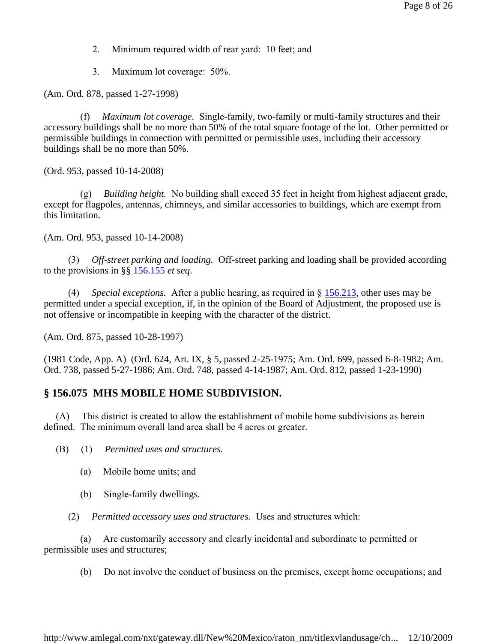- 2. Minimum required width of rear yard: 10 feet; and
- 3. Maximum lot coverage: 50%.

(Am. Ord. 878, passed 1-27-1998)

*Maximum lot coverage.* Single-family, two-family or multi-family structures and their accessory buildings shall be no more than 50% of the total square footage of the lot. Other permitted or permissible buildings in connection with permitted or permissible uses, including their accessory buildings shall be no more than 50%.

(Ord. 953, passed 10-14-2008)

 (g) *Building height.* No building shall exceed 35 feet in height from highest adjacent grade, except for flagpoles, antennas, chimneys, and similar accessories to buildings, which are exempt from this limitation.

(Am. Ord. 953, passed 10-14-2008)

 (3) *Off-street parking and loading.* Off-street parking and loading shall be provided according to the provisions in §§ 156.155 *et seq*.

 (4) *Special exceptions.* After a public hearing, as required in § 156.213, other uses may be permitted under a special exception, if, in the opinion of the Board of Adjustment, the proposed use is not offensive or incompatible in keeping with the character of the district.

(Am. Ord. 875, passed 10-28-1997)

(1981 Code, App. A) (Ord. 624, Art. IX, § 5, passed 2-25-1975; Am. Ord. 699, passed 6-8-1982; Am. Ord. 738, passed 5-27-1986; Am. Ord. 748, passed 4-14-1987; Am. Ord. 812, passed 1-23-1990)

#### **§ 156.075 MHS MOBILE HOME SUBDIVISION.**

 (A) This district is created to allow the establishment of mobile home subdivisions as herein defined. The minimum overall land area shall be 4 acres or greater.

(B) (1) *Permitted uses and structures.*

- (a) Mobile home units; and
- (b) Single-family dwellings.
- (2) *Permitted accessory uses and structures.* Uses and structures which:

 (a) Are customarily accessory and clearly incidental and subordinate to permitted or permissible uses and structures;

(b) Do not involve the conduct of business on the premises, except home occupations; and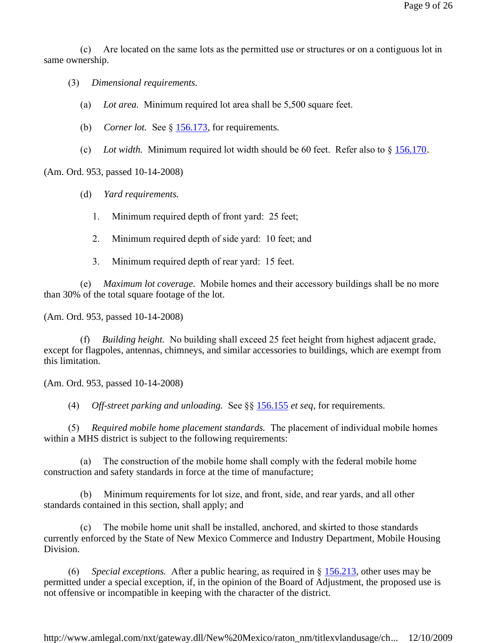(c) Are located on the same lots as the permitted use or structures or on a contiguous lot in same ownership.

(3) *Dimensional requirements.*

- (a) *Lot area.* Minimum required lot area shall be 5,500 square feet.
- (b) *Corner lot.* See § 156.173, for requirements.
- (c) *Lot width.* Minimum required lot width should be 60 feet. Refer also to  $\S$  156.170.

(Am. Ord. 953, passed 10-14-2008)

- (d) *Yard requirements.*
	- 1. Minimum required depth of front yard: 25 feet;
	- 2. Minimum required depth of side yard: 10 feet; and
	- 3. Minimum required depth of rear yard: 15 feet.

 (e) *Maximum lot coverage.* Mobile homes and their accessory buildings shall be no more than 30% of the total square footage of the lot.

(Am. Ord. 953, passed 10-14-2008)

*Building height.* No building shall exceed 25 feet height from highest adjacent grade, except for flagpoles, antennas, chimneys, and similar accessories to buildings, which are exempt from this limitation.

(Am. Ord. 953, passed 10-14-2008)

(4) *Off-street parking and unloading.* See §§ 156.155 *et seq*, for requirements.

 (5) *Required mobile home placement standards.* The placement of individual mobile homes within a MHS district is subject to the following requirements:

 (a) The construction of the mobile home shall comply with the federal mobile home construction and safety standards in force at the time of manufacture;

Minimum requirements for lot size, and front, side, and rear yards, and all other standards contained in this section, shall apply; and

The mobile home unit shall be installed, anchored, and skirted to those standards currently enforced by the State of New Mexico Commerce and Industry Department, Mobile Housing Division.

 (6) *Special exceptions.* After a public hearing, as required in § 156.213, other uses may be permitted under a special exception, if, in the opinion of the Board of Adjustment, the proposed use is not offensive or incompatible in keeping with the character of the district.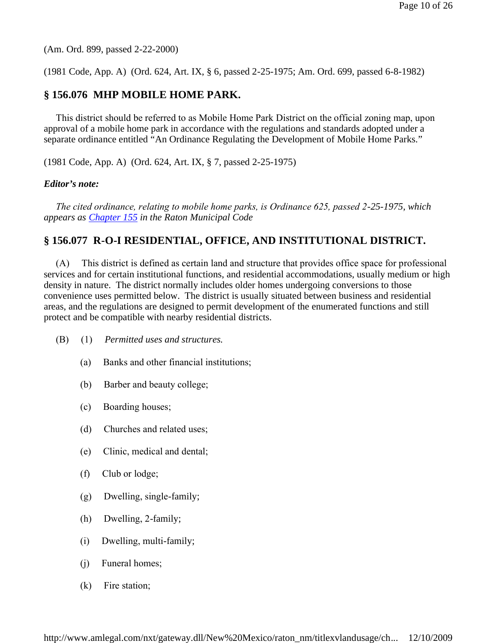(Am. Ord. 899, passed 2-22-2000)

(1981 Code, App. A) (Ord. 624, Art. IX, § 6, passed 2-25-1975; Am. Ord. 699, passed 6-8-1982)

## **§ 156.076 MHP MOBILE HOME PARK.**

 This district should be referred to as Mobile Home Park District on the official zoning map, upon approval of a mobile home park in accordance with the regulations and standards adopted under a separate ordinance entitled "An Ordinance Regulating the Development of Mobile Home Parks."

(1981 Code, App. A) (Ord. 624, Art. IX, § 7, passed 2-25-1975)

#### *Editor's note:*

 *The cited ordinance, relating to mobile home parks, is Ordinance 625, passed 2-25-1975, which appears as Chapter 155 in the Raton Municipal Code*

## **§ 156.077 R-O-I RESIDENTIAL, OFFICE, AND INSTITUTIONAL DISTRICT.**

 (A) This district is defined as certain land and structure that provides office space for professional services and for certain institutional functions, and residential accommodations, usually medium or high density in nature. The district normally includes older homes undergoing conversions to those convenience uses permitted below. The district is usually situated between business and residential areas, and the regulations are designed to permit development of the enumerated functions and still protect and be compatible with nearby residential districts.

- (B) (1) *Permitted uses and structures.*
	- (a) Banks and other financial institutions;
	- (b) Barber and beauty college;
	- (c) Boarding houses;
	- (d) Churches and related uses;
	- (e) Clinic, medical and dental;
	- (f) Club or lodge;
	- (g) Dwelling, single-family;
	- (h) Dwelling, 2-family;
	- (i) Dwelling, multi-family;
	- (i) Funeral homes;
	- (k) Fire station;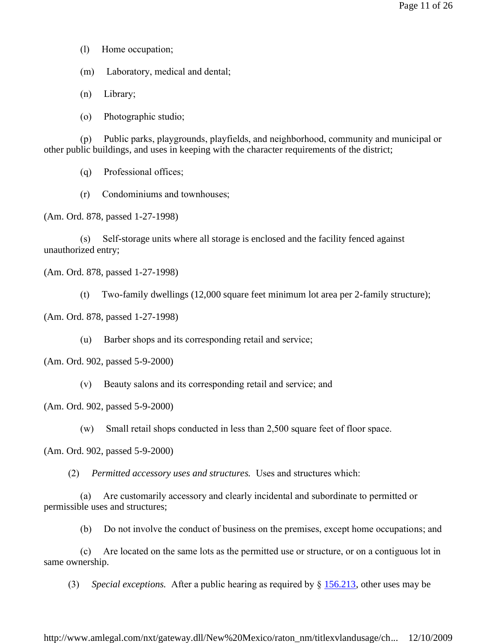(1) Home occupation;

(m) Laboratory, medical and dental;

(n) Library;

(o) Photographic studio;

 (p) Public parks, playgrounds, playfields, and neighborhood, community and municipal or other public buildings, and uses in keeping with the character requirements of the district;

(q) Professional offices;

(r) Condominiums and townhouses;

(Am. Ord. 878, passed 1-27-1998)

 (s) Self-storage units where all storage is enclosed and the facility fenced against unauthorized entry;

(Am. Ord. 878, passed 1-27-1998)

(t) Two-family dwellings (12,000 square feet minimum lot area per 2-family structure);

(Am. Ord. 878, passed 1-27-1998)

(u) Barber shops and its corresponding retail and service;

(Am. Ord. 902, passed 5-9-2000)

(v) Beauty salons and its corresponding retail and service; and

(Am. Ord. 902, passed 5-9-2000)

(w) Small retail shops conducted in less than 2,500 square feet of floor space.

(Am. Ord. 902, passed 5-9-2000)

(2) *Permitted accessory uses and structures.* Uses and structures which:

 (a) Are customarily accessory and clearly incidental and subordinate to permitted or permissible uses and structures;

(b) Do not involve the conduct of business on the premises, except home occupations; and

 (c) Are located on the same lots as the permitted use or structure, or on a contiguous lot in same ownership.

(3) *Special exceptions.* After a public hearing as required by § 156.213, other uses may be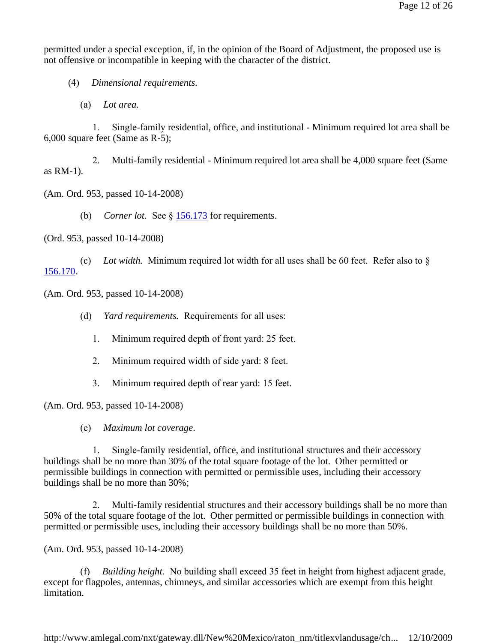permitted under a special exception, if, in the opinion of the Board of Adjustment, the proposed use is not offensive or incompatible in keeping with the character of the district.

(4) *Dimensional requirements.*

(a) *Lot area.*

 1. Single-family residential, office, and institutional - Minimum required lot area shall be 6,000 square feet (Same as R-5);

2. Multi-family residential - Minimum required lot area shall be 4,000 square feet (Same as RM-1).

(Am. Ord. 953, passed 10-14-2008)

(b) *Corner lot.* See § 156.173 for requirements.

(Ord. 953, passed 10-14-2008)

(c) *Lot width.* Minimum required lot width for all uses shall be 60 feet. Refer also to  $\delta$ 156.170.

(Am. Ord. 953, passed 10-14-2008)

(d) *Yard requirements.* Requirements for all uses:

1. Minimum required depth of front yard: 25 feet.

2. Minimum required width of side yard: 8 feet.

3. Minimum required depth of rear yard: 15 feet.

(Am. Ord. 953, passed 10-14-2008)

(e) *Maximum lot coverage.*

1. Single-family residential, office, and institutional structures and their accessory buildings shall be no more than 30% of the total square footage of the lot. Other permitted or permissible buildings in connection with permitted or permissible uses, including their accessory buildings shall be no more than 30%;

2. Multi-family residential structures and their accessory buildings shall be no more than 50% of the total square footage of the lot. Other permitted or permissible buildings in connection with permitted or permissible uses, including their accessory buildings shall be no more than 50%.

(Am. Ord. 953, passed 10-14-2008)

 (f) *Building height.* No building shall exceed 35 feet in height from highest adjacent grade, except for flagpoles, antennas, chimneys, and similar accessories which are exempt from this height limitation.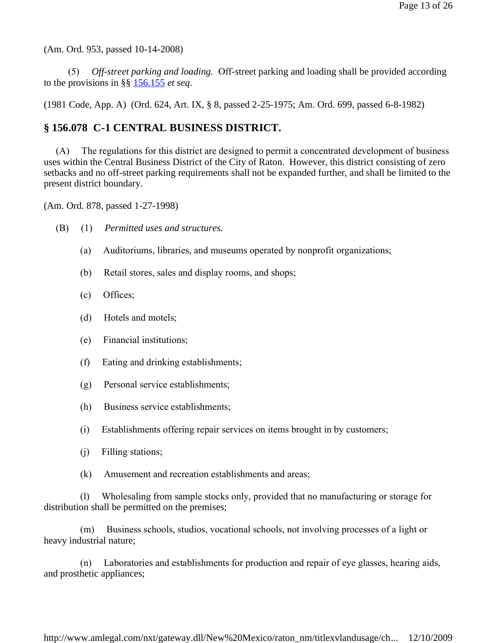(Am. Ord. 953, passed 10-14-2008)

 (5) *Off-street parking and loading.* Off-street parking and loading shall be provided according to the provisions in §§ 156.155 *et seq*.

(1981 Code, App. A) (Ord. 624, Art. IX, § 8, passed 2-25-1975; Am. Ord. 699, passed 6-8-1982)

# **§ 156.078 C-1 CENTRAL BUSINESS DISTRICT.**

 (A) The regulations for this district are designed to permit a concentrated development of business uses within the Central Business District of the City of Raton. However, this district consisting of zero setbacks and no off-street parking requirements shall not be expanded further, and shall be limited to the present district boundary.

(Am. Ord. 878, passed 1-27-1998)

- (B) (1) *Permitted uses and structures.*
	- (a) Auditoriums, libraries, and museums operated by nonprofit organizations;
	- (b) Retail stores, sales and display rooms, and shops;
	- (c) Offices;
	- (d) Hotels and motels;
	- (e) Financial institutions;
	- (f) Eating and drinking establishments;
	- (g) Personal service establishments;
	- (h) Business service establishments;
	- (i) Establishments offering repair services on items brought in by customers;
	- (j) Filling stations;
	- (k) Amusement and recreation establishments and areas;

 (l) Wholesaling from sample stocks only, provided that no manufacturing or storage for distribution shall be permitted on the premises;

 (m) Business schools, studios, vocational schools, not involving processes of a light or heavy industrial nature;

 (n) Laboratories and establishments for production and repair of eye glasses, hearing aids, and prosthetic appliances;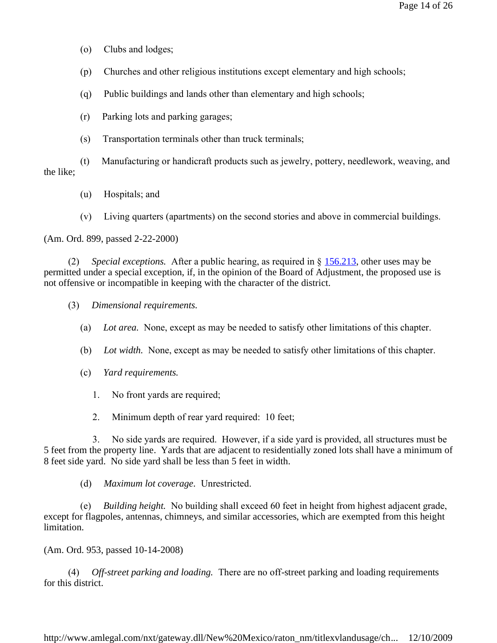- (o) Clubs and lodges;
- (p) Churches and other religious institutions except elementary and high schools;
- (q) Public buildings and lands other than elementary and high schools;
- (r) Parking lots and parking garages;
- (s) Transportation terminals other than truck terminals;

 (t) Manufacturing or handicraft products such as jewelry, pottery, needlework, weaving, and the like;

- (u) Hospitals; and
- (v) Living quarters (apartments) on the second stories and above in commercial buildings.

(Am. Ord. 899, passed 2-22-2000)

 (2) *Special exceptions.* After a public hearing, as required in § 156.213, other uses may be permitted under a special exception, if, in the opinion of the Board of Adjustment, the proposed use is not offensive or incompatible in keeping with the character of the district.

- (3) *Dimensional requirements.*
	- (a) *Lot area.* None, except as may be needed to satisfy other limitations of this chapter.
	- (b) *Lot width.* None, except as may be needed to satisfy other limitations of this chapter.
	- (c) *Yard requirements.*
		- 1. No front yards are required;
		- 2. Minimum depth of rear yard required: 10 feet;

 3. No side yards are required. However, if a side yard is provided, all structures must be 5 feet from the property line. Yards that are adjacent to residentially zoned lots shall have a minimum of 8 feet side yard. No side yard shall be less than 5 feet in width.

(d) *Maximum lot coverage.* Unrestricted.

 (e) *Building height.* No building shall exceed 60 feet in height from highest adjacent grade, except for flagpoles, antennas, chimneys, and similar accessories, which are exempted from this height limitation.

(Am. Ord. 953, passed 10-14-2008)

 (4) *Off-street parking and loading.* There are no off-street parking and loading requirements for this district.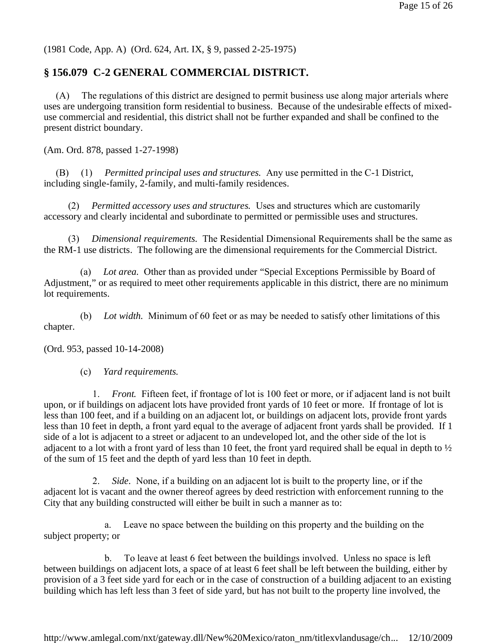(1981 Code, App. A) (Ord. 624, Art. IX, § 9, passed 2-25-1975)

# **§ 156.079 C-2 GENERAL COMMERCIAL DISTRICT.**

 (A) The regulations of this district are designed to permit business use along major arterials where uses are undergoing transition form residential to business. Because of the undesirable effects of mixeduse commercial and residential, this district shall not be further expanded and shall be confined to the present district boundary.

(Am. Ord. 878, passed 1-27-1998)

 (B) (1) *Permitted principal uses and structures.* Any use permitted in the C-1 District, including single-family, 2-family, and multi-family residences.

 (2) *Permitted accessory uses and structures.* Uses and structures which are customarily accessory and clearly incidental and subordinate to permitted or permissible uses and structures.

 (3) *Dimensional requirements.* The Residential Dimensional Requirements shall be the same as the RM-1 use districts. The following are the dimensional requirements for the Commercial District.

 (a) *Lot area.* Other than as provided under "Special Exceptions Permissible by Board of Adjustment," or as required to meet other requirements applicable in this district, there are no minimum lot requirements.

 (b) *Lot width.* Minimum of 60 feet or as may be needed to satisfy other limitations of this chapter.

(Ord. 953, passed 10-14-2008)

(c) *Yard requirements.*

 1. *Front.* Fifteen feet, if frontage of lot is 100 feet or more, or if adjacent land is not built upon, or if buildings on adjacent lots have provided front yards of 10 feet or more. If frontage of lot is less than 100 feet, and if a building on an adjacent lot, or buildings on adjacent lots, provide front yards less than 10 feet in depth, a front yard equal to the average of adjacent front yards shall be provided. If 1 side of a lot is adjacent to a street or adjacent to an undeveloped lot, and the other side of the lot is adjacent to a lot with a front yard of less than 10 feet, the front yard required shall be equal in depth to ½ of the sum of 15 feet and the depth of yard less than 10 feet in depth.

 2. *Side.* None, if a building on an adjacent lot is built to the property line, or if the adjacent lot is vacant and the owner thereof agrees by deed restriction with enforcement running to the City that any building constructed will either be built in such a manner as to:

 a. Leave no space between the building on this property and the building on the subject property; or

b. To leave at least 6 feet between the buildings involved. Unless no space is left between buildings on adjacent lots, a space of at least 6 feet shall be left between the building, either by provision of a 3 feet side yard for each or in the case of construction of a building adjacent to an existing building which has left less than 3 feet of side yard, but has not built to the property line involved, the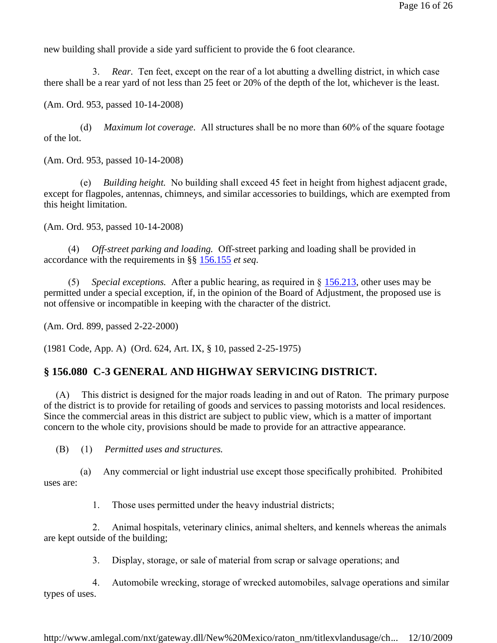new building shall provide a side yard sufficient to provide the 6 foot clearance.

 3. *Rear.* Ten feet, except on the rear of a lot abutting a dwelling district, in which case there shall be a rear yard of not less than 25 feet or 20% of the depth of the lot, whichever is the least.

(Am. Ord. 953, passed 10-14-2008)

 (d) *Maximum lot coverage.* All structures shall be no more than 60% of the square footage of the lot.

(Am. Ord. 953, passed 10-14-2008)

 (e) *Building height.* No building shall exceed 45 feet in height from highest adjacent grade, except for flagpoles, antennas, chimneys, and similar accessories to buildings, which are exempted from this height limitation.

(Am. Ord. 953, passed 10-14-2008)

 (4) *Off-street parking and loading.* Off-street parking and loading shall be provided in accordance with the requirements in §§ 156.155 *et seq*.

 (5) *Special exceptions.* After a public hearing, as required in § 156.213, other uses may be permitted under a special exception, if, in the opinion of the Board of Adjustment, the proposed use is not offensive or incompatible in keeping with the character of the district.

(Am. Ord. 899, passed 2-22-2000)

(1981 Code, App. A) (Ord. 624, Art. IX, § 10, passed 2-25-1975)

#### **§ 156.080 C-3 GENERAL AND HIGHWAY SERVICING DISTRICT.**

 (A) This district is designed for the major roads leading in and out of Raton. The primary purpose of the district is to provide for retailing of goods and services to passing motorists and local residences. Since the commercial areas in this district are subject to public view, which is a matter of important concern to the whole city, provisions should be made to provide for an attractive appearance.

(B) (1) *Permitted uses and structures.*

 (a) Any commercial or light industrial use except those specifically prohibited. Prohibited uses are:

1. Those uses permitted under the heavy industrial districts;

2. Animal hospitals, veterinary clinics, animal shelters, and kennels whereas the animals are kept outside of the building;

3. Display, storage, or sale of material from scrap or salvage operations; and

4. Automobile wrecking, storage of wrecked automobiles, salvage operations and similar types of uses.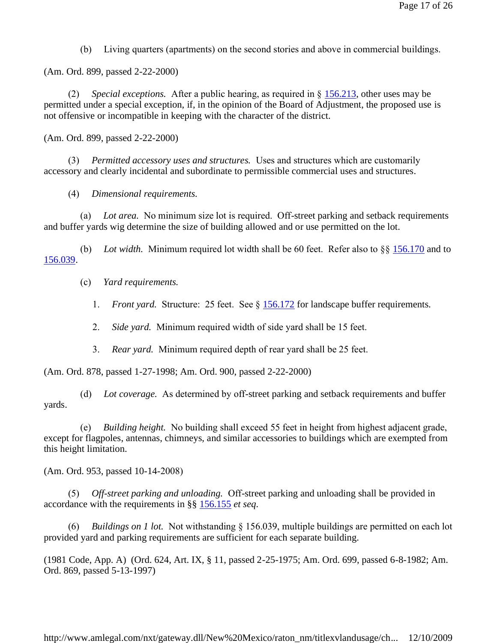(b) Living quarters (apartments) on the second stories and above in commercial buildings.

(Am. Ord. 899, passed 2-22-2000)

 (2) *Special exceptions.* After a public hearing, as required in § 156.213, other uses may be permitted under a special exception, if, in the opinion of the Board of Adjustment, the proposed use is not offensive or incompatible in keeping with the character of the district.

(Am. Ord. 899, passed 2-22-2000)

 (3) *Permitted accessory uses and structures.* Uses and structures which are customarily accessory and clearly incidental and subordinate to permissible commercial uses and structures.

(4) *Dimensional requirements.*

 (a) *Lot area.* No minimum size lot is required. Off-street parking and setback requirements and buffer yards wig determine the size of building allowed and or use permitted on the lot.

 (b) *Lot width.* Minimum required lot width shall be 60 feet. Refer also to §§ 156.170 and to 156.039.

(c) *Yard requirements.*

- 1. *Front yard.* Structure: 25 feet. See § 156.172 for landscape buffer requirements.
- 2. *Side yard.* Minimum required width of side yard shall be 15 feet.
- 3. *Rear yard.* Minimum required depth of rear yard shall be 25 feet.

(Am. Ord. 878, passed 1-27-1998; Am. Ord. 900, passed 2-22-2000)

 (d) *Lot coverage.* As determined by off-street parking and setback requirements and buffer yards.

 (e) *Building height.* No building shall exceed 55 feet in height from highest adjacent grade, except for flagpoles, antennas, chimneys, and similar accessories to buildings which are exempted from this height limitation.

(Am. Ord. 953, passed 10-14-2008)

 (5) *Off-street parking and unloading.* Off-street parking and unloading shall be provided in accordance with the requirements in §§ 156.155 *et seq*.

 (6) *Buildings on 1 lot.* Not withstanding § 156.039, multiple buildings are permitted on each lot provided yard and parking requirements are sufficient for each separate building.

(1981 Code, App. A) (Ord. 624, Art. IX, § 11, passed 2-25-1975; Am. Ord. 699, passed 6-8-1982; Am. Ord. 869, passed 5-13-1997)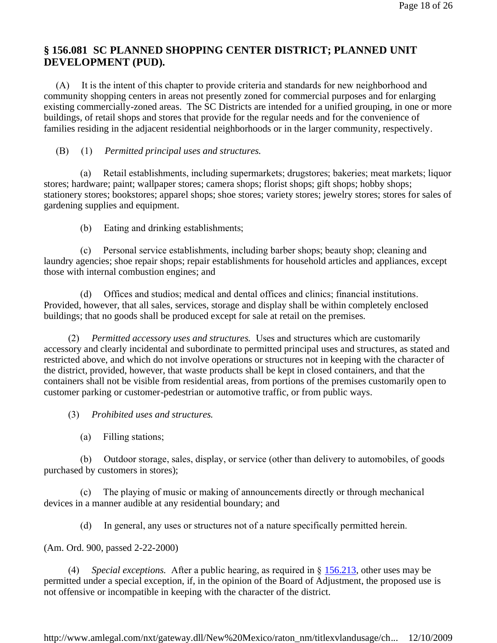# **§ 156.081 SC PLANNED SHOPPING CENTER DISTRICT; PLANNED UNIT DEVELOPMENT (PUD).**

 (A) It is the intent of this chapter to provide criteria and standards for new neighborhood and community shopping centers in areas not presently zoned for commercial purposes and for enlarging existing commercially-zoned areas. The SC Districts are intended for a unified grouping, in one or more buildings, of retail shops and stores that provide for the regular needs and for the convenience of families residing in the adjacent residential neighborhoods or in the larger community, respectively.

### (B) (1) *Permitted principal uses and structures.*

 (a) Retail establishments, including supermarkets; drugstores; bakeries; meat markets; liquor stores; hardware; paint; wallpaper stores; camera shops; florist shops; gift shops; hobby shops; stationery stores; bookstores; apparel shops; shoe stores; variety stores; jewelry stores; stores for sales of gardening supplies and equipment.

(b) Eating and drinking establishments;

 (c) Personal service establishments, including barber shops; beauty shop; cleaning and laundry agencies; shoe repair shops; repair establishments for household articles and appliances, except those with internal combustion engines; and

 (d) Offices and studios; medical and dental offices and clinics; financial institutions. Provided, however, that all sales, services, storage and display shall be within completely enclosed buildings; that no goods shall be produced except for sale at retail on the premises.

 (2) *Permitted accessory uses and structures.* Uses and structures which are customarily accessory and clearly incidental and subordinate to permitted principal uses and structures, as stated and restricted above, and which do not involve operations or structures not in keeping with the character of the district, provided, however, that waste products shall be kept in closed containers, and that the containers shall not be visible from residential areas, from portions of the premises customarily open to customer parking or customer-pedestrian or automotive traffic, or from public ways.

(3) *Prohibited uses and structures.*

(a) Filling stations;

 (b) Outdoor storage, sales, display, or service (other than delivery to automobiles, of goods purchased by customers in stores);

 (c) The playing of music or making of announcements directly or through mechanical devices in a manner audible at any residential boundary; and

(d) In general, any uses or structures not of a nature specifically permitted herein.

(Am. Ord. 900, passed 2-22-2000)

 (4) *Special exceptions.* After a public hearing, as required in § 156.213, other uses may be permitted under a special exception, if, in the opinion of the Board of Adjustment, the proposed use is not offensive or incompatible in keeping with the character of the district.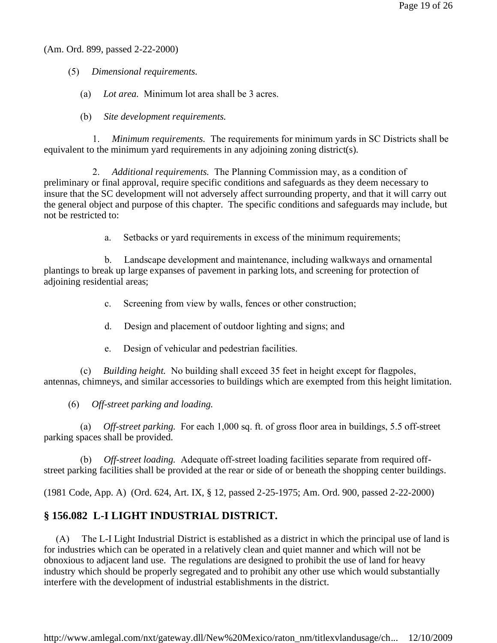(Am. Ord. 899, passed 2-22-2000)

- (5) *Dimensional requirements.*
	- (a) *Lot area.* Minimum lot area shall be 3 acres.
	- (b) *Site development requirements.*

 1. *Minimum requirements.* The requirements for minimum yards in SC Districts shall be equivalent to the minimum yard requirements in any adjoining zoning district(s).

 2. *Additional requirements.* The Planning Commission may, as a condition of preliminary or final approval, require specific conditions and safeguards as they deem necessary to insure that the SC development will not adversely affect surrounding property, and that it will carry out the general object and purpose of this chapter. The specific conditions and safeguards may include, but not be restricted to:

a. Setbacks or yard requirements in excess of the minimum requirements;

b. Landscape development and maintenance, including walkways and ornamental plantings to break up large expanses of pavement in parking lots, and screening for protection of adjoining residential areas;

- c. Screening from view by walls, fences or other construction;
- d. Design and placement of outdoor lighting and signs; and
- e. Design of vehicular and pedestrian facilities.

 (c) *Building height.* No building shall exceed 35 feet in height except for flagpoles, antennas, chimneys, and similar accessories to buildings which are exempted from this height limitation.

(6) *Off-street parking and loading.*

 (a) *Off-street parking.* For each 1,000 sq. ft. of gross floor area in buildings, 5.5 off-street parking spaces shall be provided.

 (b) *Off-street loading.* Adequate off-street loading facilities separate from required offstreet parking facilities shall be provided at the rear or side of or beneath the shopping center buildings.

(1981 Code, App. A) (Ord. 624, Art. IX, § 12, passed 2-25-1975; Am. Ord. 900, passed 2-22-2000)

# **§ 156.082 L-I LIGHT INDUSTRIAL DISTRICT.**

 (A) The L-I Light Industrial District is established as a district in which the principal use of land is for industries which can be operated in a relatively clean and quiet manner and which will not be obnoxious to adjacent land use. The regulations are designed to prohibit the use of land for heavy industry which should be properly segregated and to prohibit any other use which would substantially interfere with the development of industrial establishments in the district.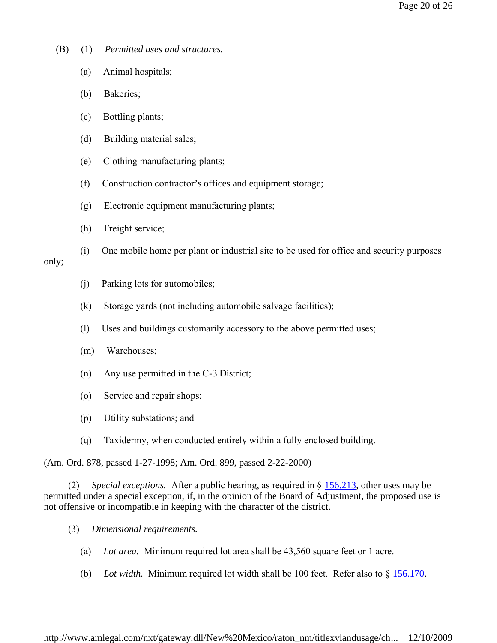- (B) (1) *Permitted uses and structures.*
	- (a) Animal hospitals;
	- (b) Bakeries;
	- (c) Bottling plants;
	- (d) Building material sales;
	- (e) Clothing manufacturing plants;
	- (f) Construction contractor's offices and equipment storage;
	- (g) Electronic equipment manufacturing plants;
	- (h) Freight service;
	- (i) One mobile home per plant or industrial site to be used for office and security purposes

### only;

- (j) Parking lots for automobiles;
- (k) Storage yards (not including automobile salvage facilities);
- (l) Uses and buildings customarily accessory to the above permitted uses;
- (m) Warehouses;
- (n) Any use permitted in the C-3 District;
- (o) Service and repair shops;
- (p) Utility substations; and
- (q) Taxidermy, when conducted entirely within a fully enclosed building.

(Am. Ord. 878, passed 1-27-1998; Am. Ord. 899, passed 2-22-2000)

 (2) *Special exceptions.* After a public hearing, as required in § 156.213, other uses may be permitted under a special exception, if, in the opinion of the Board of Adjustment, the proposed use is not offensive or incompatible in keeping with the character of the district.

- (3) *Dimensional requirements.*
	- (a) *Lot area.* Minimum required lot area shall be 43,560 square feet or 1 acre.
	- (b) *Lot width.* Minimum required lot width shall be 100 feet. Refer also to § 156.170.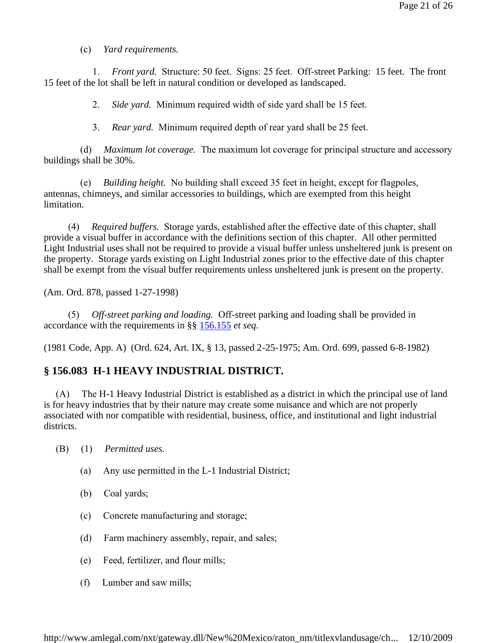(c) *Yard requirements.*

 1. *Front yard.* Structure: 50 feet. Signs: 25 feet. Off-street Parking: 15 feet. The front 15 feet of the lot shall be left in natural condition or developed as landscaped.

2. *Side yard.* Minimum required width of side yard shall be 15 feet.

3. *Rear yard.* Minimum required depth of rear yard shall be 25 feet.

 (d) *Maximum lot coverage.* The maximum lot coverage for principal structure and accessory buildings shall be 30%.

 (e) *Building height.* No building shall exceed 35 feet in height, except for flagpoles, antennas, chimneys, and similar accessories to buildings, which are exempted from this height limitation.

 (4) *Required buffers.* Storage yards, established after the effective date of this chapter, shall provide a visual buffer in accordance with the definitions section of this chapter. All other permitted Light Industrial uses shall not be required to provide a visual buffer unless unsheltered junk is present on the property. Storage yards existing on Light Industrial zones prior to the effective date of this chapter shall be exempt from the visual buffer requirements unless unsheltered junk is present on the property.

(Am. Ord. 878, passed 1-27-1998)

 (5) *Off-street parking and loading.* Off-street parking and loading shall be provided in accordance with the requirements in §§ 156.155 *et seq*.

(1981 Code, App. A) (Ord. 624, Art. IX, § 13, passed 2-25-1975; Am. Ord. 699, passed 6-8-1982)

#### **§ 156.083 H-1 HEAVY INDUSTRIAL DISTRICT.**

 (A) The H-1 Heavy Industrial District is established as a district in which the principal use of land is for heavy industries that by their nature may create some nuisance and which are not properly associated with nor compatible with residential, business, office, and institutional and light industrial districts.

- (B) (1) *Permitted uses.*
	- (a) Any use permitted in the L-1 Industrial District;
	- (b) Coal yards;
	- (c) Concrete manufacturing and storage;
	- (d) Farm machinery assembly, repair, and sales;
	- (e) Feed, fertilizer, and flour mills;
	- (f) Lumber and saw mills;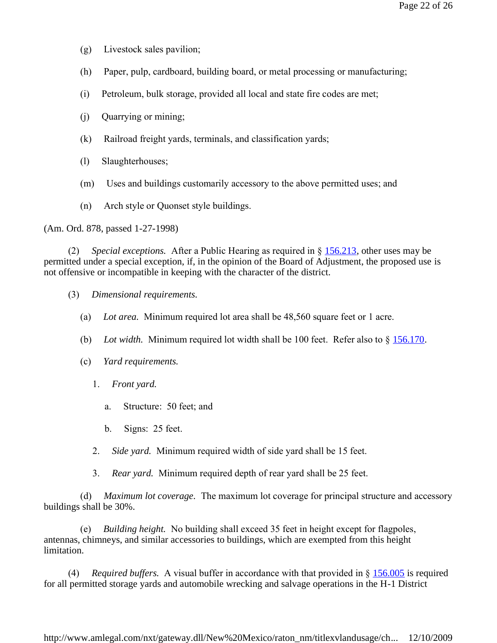- (g) Livestock sales pavilion;
- (h) Paper, pulp, cardboard, building board, or metal processing or manufacturing;
- (i) Petroleum, bulk storage, provided all local and state fire codes are met;
- $(i)$  Quarrying or mining;
- (k) Railroad freight yards, terminals, and classification yards;
- (l) Slaughterhouses;
- (m) Uses and buildings customarily accessory to the above permitted uses; and
- (n) Arch style or Quonset style buildings.

(Am. Ord. 878, passed 1-27-1998)

 (2) *Special exceptions.* After a Public Hearing as required in § 156.213, other uses may be permitted under a special exception, if, in the opinion of the Board of Adjustment, the proposed use is not offensive or incompatible in keeping with the character of the district.

- (3) *Dimensional requirements.*
	- (a) *Lot area.* Minimum required lot area shall be 48,560 square feet or 1 acre.
	- (b) *Lot width.* Minimum required lot width shall be 100 feet. Refer also to § 156.170.
	- (c) *Yard requirements.*
		- 1. *Front yard.*
			- a. Structure: 50 feet; and
			- b. Signs: 25 feet.
		- 2. *Side yard.* Minimum required width of side yard shall be 15 feet.
		- 3. *Rear yard.* Minimum required depth of rear yard shall be 25 feet.

 (d) *Maximum lot coverage.* The maximum lot coverage for principal structure and accessory buildings shall be 30%.

*Building height.* No building shall exceed 35 feet in height except for flagpoles, antennas, chimneys, and similar accessories to buildings, which are exempted from this height limitation.

 (4) *Required buffers.* A visual buffer in accordance with that provided in § 156.005 is required for all permitted storage yards and automobile wrecking and salvage operations in the H-1 District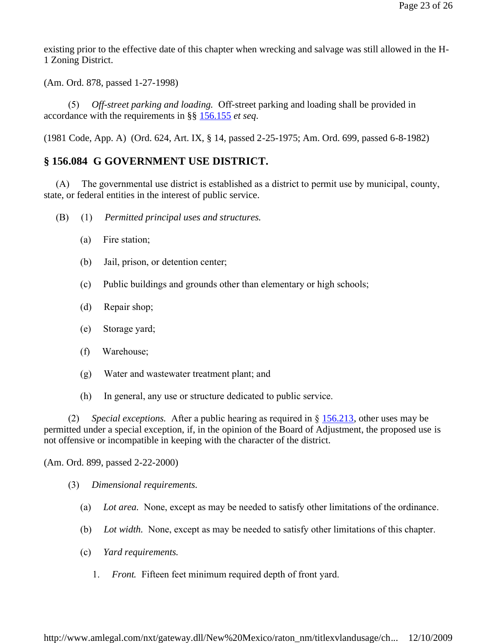existing prior to the effective date of this chapter when wrecking and salvage was still allowed in the H-1 Zoning District.

(Am. Ord. 878, passed 1-27-1998)

 (5) *Off-street parking and loading.* Off-street parking and loading shall be provided in accordance with the requirements in §§ 156.155 *et seq*.

(1981 Code, App. A) (Ord. 624, Art. IX, § 14, passed 2-25-1975; Am. Ord. 699, passed 6-8-1982)

## **§ 156.084 G GOVERNMENT USE DISTRICT.**

 (A) The governmental use district is established as a district to permit use by municipal, county, state, or federal entities in the interest of public service.

- (B) (1) *Permitted principal uses and structures.*
	- (a) Fire station;
	- (b) Jail, prison, or detention center;
	- (c) Public buildings and grounds other than elementary or high schools;
	- (d) Repair shop;
	- (e) Storage yard;
	- (f) Warehouse;
	- (g) Water and wastewater treatment plant; and
	- (h) In general, any use or structure dedicated to public service.

 (2) *Special exceptions.* After a public hearing as required in § 156.213, other uses may be permitted under a special exception, if, in the opinion of the Board of Adjustment, the proposed use is not offensive or incompatible in keeping with the character of the district.

(Am. Ord. 899, passed 2-22-2000)

- (3) *Dimensional requirements.*
	- (a) *Lot area.* None, except as may be needed to satisfy other limitations of the ordinance.
	- (b) *Lot width.* None, except as may be needed to satisfy other limitations of this chapter.
	- (c) *Yard requirements.*
		- 1. *Front.* Fifteen feet minimum required depth of front yard.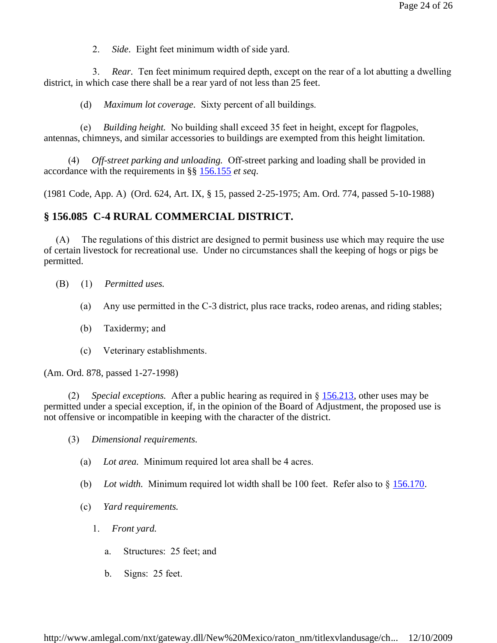2. *Side.* Eight feet minimum width of side yard.

 3. *Rear.* Ten feet minimum required depth, except on the rear of a lot abutting a dwelling district, in which case there shall be a rear yard of not less than 25 feet.

(d) *Maximum lot coverage.* Sixty percent of all buildings.

 (e) *Building height.* No building shall exceed 35 feet in height, except for flagpoles, antennas, chimneys, and similar accessories to buildings are exempted from this height limitation.

 (4) *Off-street parking and unloading.* Off-street parking and loading shall be provided in accordance with the requirements in §§ 156.155 *et seq*.

(1981 Code, App. A) (Ord. 624, Art. IX, § 15, passed 2-25-1975; Am. Ord. 774, passed 5-10-1988)

### **§ 156.085 C-4 RURAL COMMERCIAL DISTRICT.**

 (A) The regulations of this district are designed to permit business use which may require the use of certain livestock for recreational use. Under no circumstances shall the keeping of hogs or pigs be permitted.

- (B) (1) *Permitted uses.*
	- (a) Any use permitted in the C-3 district, plus race tracks, rodeo arenas, and riding stables;
	- (b) Taxidermy; and
	- (c) Veterinary establishments.

(Am. Ord. 878, passed 1-27-1998)

 (2) *Special exceptions.* After a public hearing as required in § 156.213, other uses may be permitted under a special exception, if, in the opinion of the Board of Adjustment, the proposed use is not offensive or incompatible in keeping with the character of the district.

- (3) *Dimensional requirements.*
	- (a) *Lot area.* Minimum required lot area shall be 4 acres.
	- (b) *Lot width.* Minimum required lot width shall be 100 feet. Refer also to § 156.170.
	- (c) *Yard requirements.*
		- 1. *Front yard.*
			- a. Structures: 25 feet; and
			- b. Signs: 25 feet.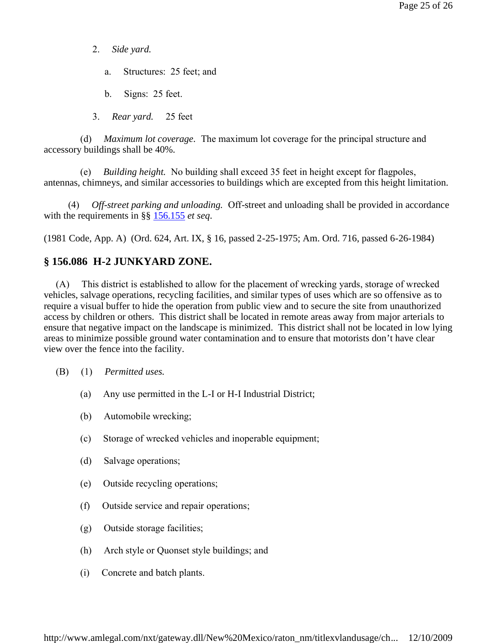- 2. *Side yard.*
	- a. Structures: 25 feet; and
	- b. Signs: 25 feet.
- 3. *Rear yard.* 25 feet

 (d) *Maximum lot coverage.* The maximum lot coverage for the principal structure and accessory buildings shall be 40%.

 (e) *Building height.* No building shall exceed 35 feet in height except for flagpoles, antennas, chimneys, and similar accessories to buildings which are excepted from this height limitation.

 (4) *Off-street parking and unloading.* Off-street and unloading shall be provided in accordance with the requirements in §§ 156.155 *et seq*.

(1981 Code, App. A) (Ord. 624, Art. IX, § 16, passed 2-25-1975; Am. Ord. 716, passed 6-26-1984)

#### **§ 156.086 H-2 JUNKYARD ZONE.**

 (A) This district is established to allow for the placement of wrecking yards, storage of wrecked vehicles, salvage operations, recycling facilities, and similar types of uses which are so offensive as to require a visual buffer to hide the operation from public view and to secure the site from unauthorized access by children or others. This district shall be located in remote areas away from major arterials to ensure that negative impact on the landscape is minimized. This district shall not be located in low lying areas to minimize possible ground water contamination and to ensure that motorists don't have clear view over the fence into the facility.

- (B) (1) *Permitted uses.*
	- (a) Any use permitted in the L-I or H-I Industrial District;
	- (b) Automobile wrecking;
	- (c) Storage of wrecked vehicles and inoperable equipment;
	- (d) Salvage operations;
	- (e) Outside recycling operations;
	- (f) Outside service and repair operations;
	- (g) Outside storage facilities;
	- (h) Arch style or Quonset style buildings; and
	- (i) Concrete and batch plants.